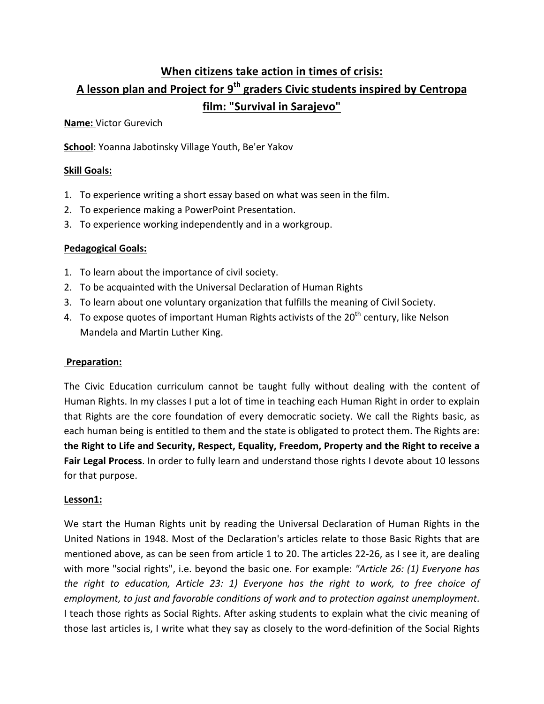# **When citizens take action in times of crisis:** A lesson plan and Project for 9<sup>th</sup> graders Civic students inspired by Centropa film: "Survival in Sarajevo"

**Name:** Victor Gurevich

**School**: Yoanna Jabotinsky Village Youth, Be'er Yakov

### **Skill Goals:**

- 1. To experience writing a short essay based on what was seen in the film.
- 2. To experience making a PowerPoint Presentation.
- 3. To experience working independently and in a workgroup.

### **Pedagogical Goals:**

- 1. To learn about the importance of civil society.
- 2. To be acquainted with the Universal Declaration of Human Rights
- 3. To learn about one voluntary organization that fulfills the meaning of Civil Society.
- 4. To expose quotes of important Human Rights activists of the  $20<sup>th</sup>$  century, like Nelson Mandela and Martin Luther King.

### **Preparation:**

The Civic Education curriculum cannot be taught fully without dealing with the content of Human Rights. In my classes I put a lot of time in teaching each Human Right in order to explain that Rights are the core foundation of every democratic society. We call the Rights basic, as each human being is entitled to them and the state is obligated to protect them. The Rights are: the Right to Life and Security, Respect, Equality, Freedom, Property and the Right to receive a **Fair Legal Process**. In order to fully learn and understand those rights I devote about 10 lessons for that purpose.

### **Lesson1:**

We start the Human Rights unit by reading the Universal Declaration of Human Rights in the United Nations in 1948. Most of the Declaration's articles relate to those Basic Rights that are mentioned above, as can be seen from article 1 to 20. The articles 22-26, as I see it, are dealing with more "social rights", i.e. beyond the basic one. For example: "Article 26: (1) Everyone has *the right to education, Article 23: 1) Everyone has the right to work, to free choice of employment, to just and favorable conditions of work and to protection against unemployment.* I teach those rights as Social Rights. After asking students to explain what the civic meaning of those last articles is, I write what they say as closely to the word-definition of the Social Rights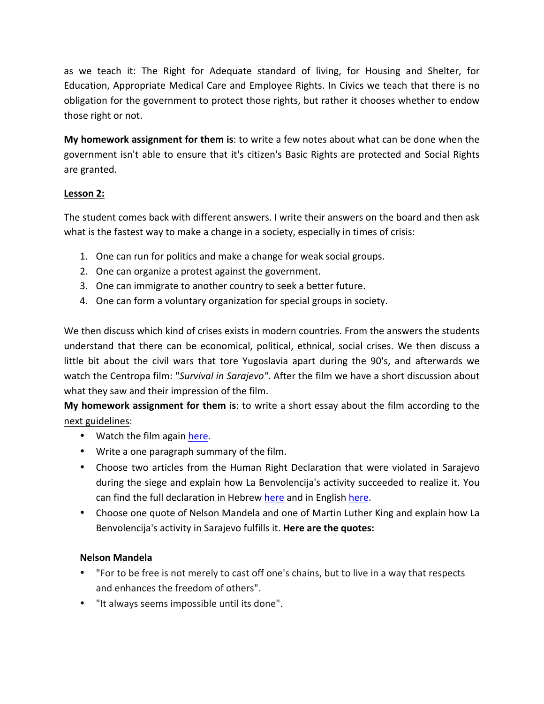as we teach it: The Right for Adequate standard of living, for Housing and Shelter, for Education, Appropriate Medical Care and Employee Rights. In Civics we teach that there is no obligation for the government to protect those rights, but rather it chooses whether to endow those right or not.

**My homework assignment for them is:** to write a few notes about what can be done when the government isn't able to ensure that it's citizen's Basic Rights are protected and Social Rights are granted.

### Lesson 2:

The student comes back with different answers. I write their answers on the board and then ask what is the fastest way to make a change in a society, especially in times of crisis:

- 1. One can run for politics and make a change for weak social groups.
- 2. One can organize a protest against the government.
- 3. One can immigrate to another country to seek a better future.
- 4. One can form a voluntary organization for special groups in society.

We then discuss which kind of crises exists in modern countries. From the answers the students understand that there can be economical, political, ethnical, social crises. We then discuss a little bit about the civil wars that tore Yugoslavia apart during the 90's, and afterwards we watch the Centropa film: "Survival in Sarajevo". After the film we have a short discussion about what they saw and their impression of the film.

**My homework assignment for them is:** to write a short essay about the film according to the next guidelines: 

- Watch the film again here.
- Write a one paragraph summary of the film.
- Choose two articles from the Human Right Declaration that were violated in Sarajevo during the siege and explain how La Benvolencija's activity succeeded to realize it. You can find the full declaration in Hebrew here and in English here.
- Choose one quote of Nelson Mandela and one of Martin Luther King and explain how La Benvolencija's activity in Sarajevo fulfills it. Here are the quotes:

### **Nelson Mandela**

- "For to be free is not merely to cast off one's chains, but to live in a way that respects and enhances the freedom of others".
- "It always seems impossible until its done".